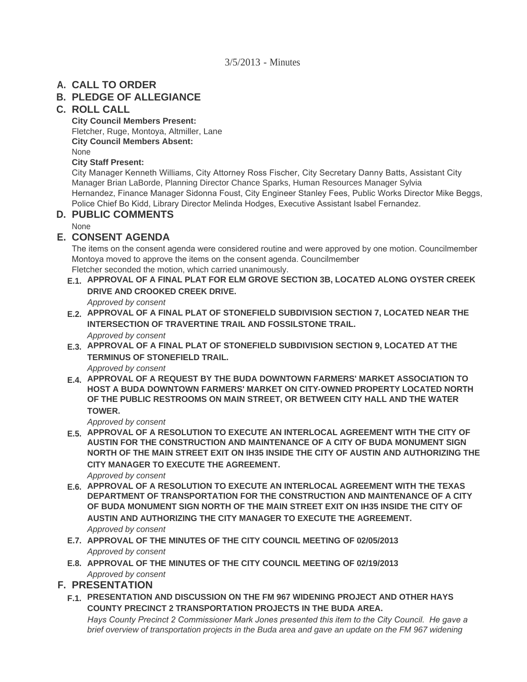## **CALL TO ORDER A.**

## **PLEDGE OF ALLEGIANCE B.**

### **ROLL CALL C.**

**City Council Members Present:** Fletcher, Ruge, Montoya, Altmiller, Lane **City Council Members Absent:** None

### **City Staff Present:**

City Manager Kenneth Williams, City Attorney Ross Fischer, City Secretary Danny Batts, Assistant City Manager Brian LaBorde, Planning Director Chance Sparks, Human Resources Manager Sylvia Hernandez, Finance Manager Sidonna Foust, City Engineer Stanley Fees, Public Works Director Mike Beggs, Police Chief Bo Kidd, Library Director Melinda Hodges, Executive Assistant Isabel Fernandez.

## **PUBLIC COMMENTS D.**

None

## **CONSENT AGENDA E.**

The items on the consent agenda were considered routine and were approved by one motion. Councilmember Montoya moved to approve the items on the consent agenda. Councilmember Fletcher seconded the motion, which carried unanimously.

- **APPROVAL OF A FINAL PLAT FOR ELM GROVE SECTION 3B, LOCATED ALONG OYSTER CREEK E.1. DRIVE AND CROOKED CREEK DRIVE.** *Approved by consent*
- **APPROVAL OF A FINAL PLAT OF STONEFIELD SUBDIVISION SECTION 7, LOCATED NEAR THE E.2. INTERSECTION OF TRAVERTINE TRAIL AND FOSSILSTONE TRAIL.**

*Approved by consent*

**APPROVAL OF A FINAL PLAT OF STONEFIELD SUBDIVISION SECTION 9, LOCATED AT THE E.3. TERMINUS OF STONEFIELD TRAIL.**

*Approved by consent*

**APPROVAL OF A REQUEST BY THE BUDA DOWNTOWN FARMERS' MARKET ASSOCIATION TO E.4. HOST A BUDA DOWNTOWN FARMERS' MARKET ON CITY-OWNED PROPERTY LOCATED NORTH OF THE PUBLIC RESTROOMS ON MAIN STREET, OR BETWEEN CITY HALL AND THE WATER TOWER.**

*Approved by consent*

**APPROVAL OF A RESOLUTION TO EXECUTE AN INTERLOCAL AGREEMENT WITH THE CITY OF E.5. AUSTIN FOR THE CONSTRUCTION AND MAINTENANCE OF A CITY OF BUDA MONUMENT SIGN NORTH OF THE MAIN STREET EXIT ON IH35 INSIDE THE CITY OF AUSTIN AND AUTHORIZING THE CITY MANAGER TO EXECUTE THE AGREEMENT.**

*Approved by consent*

- **APPROVAL OF A RESOLUTION TO EXECUTE AN INTERLOCAL AGREEMENT WITH THE TEXAS E.6. DEPARTMENT OF TRANSPORTATION FOR THE CONSTRUCTION AND MAINTENANCE OF A CITY OF BUDA MONUMENT SIGN NORTH OF THE MAIN STREET EXIT ON IH35 INSIDE THE CITY OF AUSTIN AND AUTHORIZING THE CITY MANAGER TO EXECUTE THE AGREEMENT.** *Approved by consent*
- **APPROVAL OF THE MINUTES OF THE CITY COUNCIL MEETING OF 02/05/2013 E.7.** *Approved by consent*
- **APPROVAL OF THE MINUTES OF THE CITY COUNCIL MEETING OF 02/19/2013 E.8.** *Approved by consent*

## **PRESENTATION F.**

**PRESENTATION AND DISCUSSION ON THE FM 967 WIDENING PROJECT AND OTHER HAYS F.1. COUNTY PRECINCT 2 TRANSPORTATION PROJECTS IN THE BUDA AREA.**

*Hays County Precinct 2 Commissioner Mark Jones presented this item to the City Council. He gave a brief overview of transportation projects in the Buda area and gave an update on the FM 967 widening*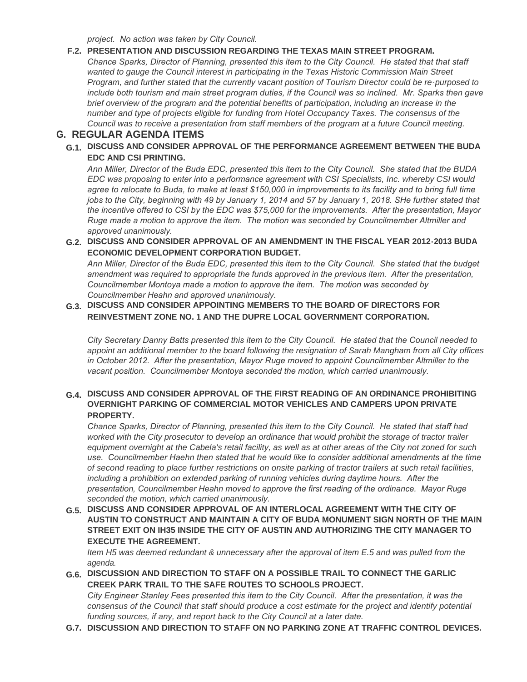*project. No action was taken by City Council.*

### **PRESENTATION AND DISCUSSION REGARDING THE TEXAS MAIN STREET PROGRAM. F.2.**

*Chance Sparks, Director of Planning, presented this item to the City Council. He stated that that staff*  wanted to gauge the Council interest in participating in the Texas Historic Commission Main Street *Program, and further stated that the currently vacant position of Tourism Director could be re-purposed to include both tourism and main street program duties, if the Council was so inclined. Mr. Sparks then gave brief overview of the program and the potential benefits of participation, including an increase in the number and type of projects eligible for funding from Hotel Occupancy Taxes. The consensus of the Council was to receive a presentation from staff members of the program at a future Council meeting.*

### **REGULAR AGENDA ITEMS G.**

**DISCUSS AND CONSIDER APPROVAL OF THE PERFORMANCE AGREEMENT BETWEEN THE BUDA G.1. EDC AND CSI PRINTING.**

*Ann Miller, Director of the Buda EDC, presented this item to the City Council. She stated that the BUDA EDC was proposing to enter into a performance agreement with CSI Specialists, Inc. whereby CSI would agree to relocate to Buda, to make at least \$150,000 in improvements to its facility and to bring full time jobs to the City, beginning with 49 by January 1, 2014 and 57 by January 1, 2018. SHe further stated that the incentive offered to CSI by the EDC was \$75,000 for the improvements. After the presentation, Mayor Ruge made a motion to approve the item. The motion was seconded by Councilmember Altmiller and approved unanimously.* 

**DISCUSS AND CONSIDER APPROVAL OF AN AMENDMENT IN THE FISCAL YEAR 2012-2013 BUDA G.2. ECONOMIC DEVELOPMENT CORPORATION BUDGET.**

*Ann Miller, Director of the Buda EDC, presented this item to the City Council. She stated that the budget amendment was required to appropriate the funds approved in the previous item. After the presentation, Councilmember Montoya made a motion to approve the item. The motion was seconded by Councilmember Heahn and approved unanimously.* 

### **DISCUSS AND CONSIDER APPOINTING MEMBERS TO THE BOARD OF DIRECTORS FOR G.3. REINVESTMENT ZONE NO. 1 AND THE DUPRE LOCAL GOVERNMENT CORPORATION.**

*City Secretary Danny Batts presented this item to the City Council. He stated that the Council needed to appoint an additional member to the board following the resignation of Sarah Mangham from all City offices in October 2012. After the presentation, Mayor Ruge moved to appoint Councilmember Altmiller to the vacant position. Councilmember Montoya seconded the motion, which carried unanimously.*

### **DISCUSS AND CONSIDER APPROVAL OF THE FIRST READING OF AN ORDINANCE PROHIBITING G.4. OVERNIGHT PARKING OF COMMERCIAL MOTOR VEHICLES AND CAMPERS UPON PRIVATE PROPERTY.**

*Chance Sparks, Director of Planning, presented this item to the City Council. He stated that staff had worked with the City prosecutor to develop an ordinance that would prohibit the storage of tractor trailer*  equipment overnight at the Cabela's retail facility, as well as at other areas of the City not zoned for such *use. Councilmember Haehn then stated that he would like to consider additional amendments at the time of second reading to place further restrictions on onsite parking of tractor trailers at such retail facilities,*  including a prohibition on extended parking of running vehicles during daytime hours. After the *presentation, Councilmember Heahn moved to approve the first reading of the ordinance. Mayor Ruge seconded the motion, which carried unanimously.*

**DISCUSS AND CONSIDER APPROVAL OF AN INTERLOCAL AGREEMENT WITH THE CITY OF G.5. AUSTIN TO CONSTRUCT AND MAINTAIN A CITY OF BUDA MONUMENT SIGN NORTH OF THE MAIN STREET EXIT ON IH35 INSIDE THE CITY OF AUSTIN AND AUTHORIZING THE CITY MANAGER TO EXECUTE THE AGREEMENT.**

*Item H5 was deemed redundant & unnecessary after the approval of item E.5 and was pulled from the agenda.*

**DISCUSSION AND DIRECTION TO STAFF ON A POSSIBLE TRAIL TO CONNECT THE GARLIC G.6. CREEK PARK TRAIL TO THE SAFE ROUTES TO SCHOOLS PROJECT.**

*City Engineer Stanley Fees presented this item to the City Council. After the presentation, it was the consensus of the Council that staff should produce a cost estimate for the project and identify potential funding sources, if any, and report back to the City Council at a later date.*

**DISCUSSION AND DIRECTION TO STAFF ON NO PARKING ZONE AT TRAFFIC CONTROL DEVICES. G.7.**